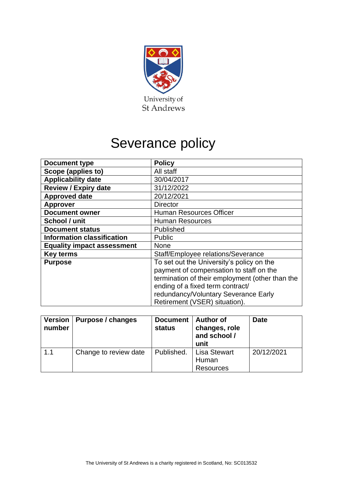

# Severance policy

| <b>Document type</b>              | <b>Policy</b>                                   |
|-----------------------------------|-------------------------------------------------|
| Scope (applies to)                | All staff                                       |
| <b>Applicability date</b>         | 30/04/2017                                      |
| <b>Review / Expiry date</b>       | 31/12/2022                                      |
| <b>Approved date</b>              | 20/12/2021                                      |
| <b>Approver</b>                   | <b>Director</b>                                 |
| <b>Document owner</b>             | <b>Human Resources Officer</b>                  |
| School / unit                     | <b>Human Resources</b>                          |
| <b>Document status</b>            | Published                                       |
| <b>Information classification</b> | <b>Public</b>                                   |
| <b>Equality impact assessment</b> | <b>None</b>                                     |
| <b>Key terms</b>                  | Staff/Employee relations/Severance              |
| <b>Purpose</b>                    | To set out the University's policy on the       |
|                                   | payment of compensation to staff on the         |
|                                   | termination of their employment (other than the |
|                                   | ending of a fixed term contract/                |
|                                   | redundancy/Voluntary Severance Early            |
|                                   | Retirement (VSER) situation).                   |

| <b>Version</b><br>number | Purpose / changes     | <b>Document</b><br><b>status</b> | <b>Author of</b><br>changes, role<br>and school /<br>unit | <b>Date</b> |
|--------------------------|-----------------------|----------------------------------|-----------------------------------------------------------|-------------|
| 1.1                      | Change to review date | Published.                       | <b>Lisa Stewart</b><br>Human<br><b>Resources</b>          | 20/12/2021  |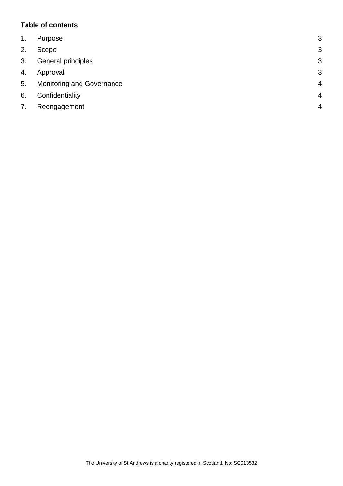## **Table of contents**

| 1. | Purpose                   | 3              |
|----|---------------------------|----------------|
| 2. | Scope                     | 3              |
| 3. | General principles        | 3              |
| 4. | Approval                  | 3              |
| 5. | Monitoring and Governance | $\overline{4}$ |
| 6. | Confidentiality           | $\overline{4}$ |
| 7. | Reengagement              | $\overline{4}$ |
|    |                           |                |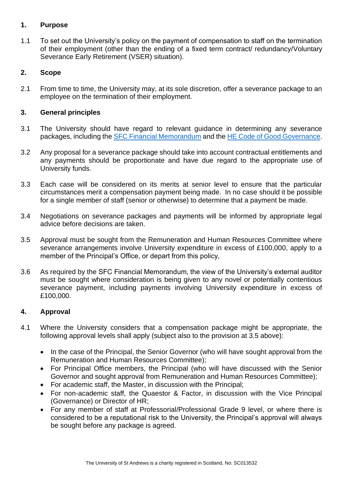## <span id="page-2-0"></span>**1. Purpose**

1.1 To set out the University's policy on the payment of compensation to staff on the termination of their employment (other than the ending of a fixed term contract/ redundancy/Voluntary Severance Early Retirement (VSER) situation).

# <span id="page-2-1"></span>**2. Scope**

2.1 From time to time, the University may, at its sole discretion, offer a severance package to an employee on the termination of their employment.

## <span id="page-2-2"></span>**3. General principles**

- 3.1 The University should have regard to relevant guidance in determining any severance packages, including the SFC [Financial Memorandum](http://www.sfc.ac.uk/web/FILES/Guidance_Governance/Financial_Memorandum_with_higher_education_institutions_-_1_December_2014.pdf) and the [HE Code of Good Governance.](https://www.universitychairs.ac.uk/wp-content/uploads/2015/02/Code-Final.pdf)
- 3.2 Any proposal for a severance package should take into account contractual entitlements and any payments should be proportionate and have due regard to the appropriate use of University funds.
- 3.3 Each case will be considered on its merits at senior level to ensure that the particular circumstances merit a compensation payment being made. In no case should it be possible for a single member of staff (senior or otherwise) to determine that a payment be made.
- 3.4 Negotiations on severance packages and payments will be informed by appropriate legal advice before decisions are taken.
- 3.5 Approval must be sought from the Remuneration and Human Resources Committee where severance arrangements involve University expenditure in excess of £100,000, apply to a member of the Principal's Office, or depart from this policy,
- 3.6 As required by the SFC Financial Memorandum, the view of the University's external auditor must be sought where consideration is being given to any novel or potentially contentious severance payment, including payments involving University expenditure in excess of £100,000.

# <span id="page-2-3"></span>**4. Approval**

- 4.1 Where the University considers that a compensation package might be appropriate, the following approval levels shall apply (subject also to the provision at 3.5 above):
	- In the case of the Principal, the Senior Governor (who will have sought approval from the Remuneration and Human Resources Committee);
	- For Principal Office members, the Principal (who will have discussed with the Senior Governor and sought approval from Remuneration and Human Resources Committee);
	- For academic staff, the Master, in discussion with the Principal;
	- For non-academic staff, the Quaestor & Factor, in discussion with the Vice Principal (Governance) or Director of HR;
	- For any member of staff at Professorial/Professional Grade 9 level, or where there is considered to be a reputational risk to the University, the Principal's approval will always be sought before any package is agreed.